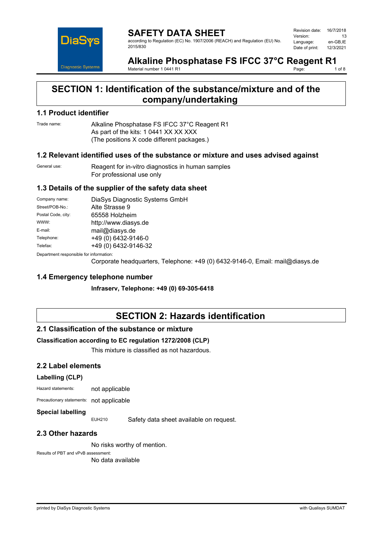

**SAFETY DATA SHEET** according to Regulation (EC) No. 1907/2006 (REACH) and Regulation (EU) No. 2015/830

| Revision date: | 16/7/2018 |
|----------------|-----------|
| Version:       | 13        |
| Language:      | en-GB.IE  |
| Date of print: | 12/3/2021 |

#### **Alkaline Phosphatase FS IFCC 37°C Reagent R1**<br>Material number 1.0441 R1<br>1.0f 8 Page:

Material number 1 0441 R1

# **SECTION 1: Identification of the substance/mixture and of the company/undertaking**

### **1.1 Product identifier**

Trade name: Alkaline Phosphatase FS IFCC 37°C Reagent R1 As part of the kits: 1 0441 XX XX XXX (The positions X code different packages.)

### **1.2 Relevant identified uses of the substance or mixture and uses advised against**

General use: Reagent for in-vitro diagnostics in human samples For professional use only

## **1.3 Details of the supplier of the safety data sheet**

| Company name:                           | DiaSys Diagnostic Systems GmbH |
|-----------------------------------------|--------------------------------|
| Street/POB-No.:                         | Alte Strasse 9                 |
| Postal Code, city:                      | 65558 Holzheim                 |
| WWW:                                    | http://www.diasys.de           |
| E-mail:                                 | mail@diasys.de                 |
| Telephone:                              | +49 (0) 6432-9146-0            |
| Telefax:                                | +49 (0) 6432-9146-32           |
| Denamusent recognished for information: |                                |

Department responsible for information:

Corporate headquarters, Telephone: +49 (0) 6432-9146-0, Email: mail@diasys.de

#### **1.4 Emergency telephone number**

**Infraserv, Telephone: +49 (0) 69-305-6418**

# **SECTION 2: Hazards identification**

#### **2.1 Classification of the substance or mixture**

#### **Classification according to EC regulation 1272/2008 (CLP)**

This mixture is classified as not hazardous.

#### **2.2 Label elements**

#### **Labelling (CLP)**

Hazard statements: not applicable

Precautionary statements: not applicable

#### **Special labelling**

EUH210 Safety data sheet available on request.

## **2.3 Other hazards**

No risks worthy of mention.

#### Results of PBT and vPvB assessment:

No data available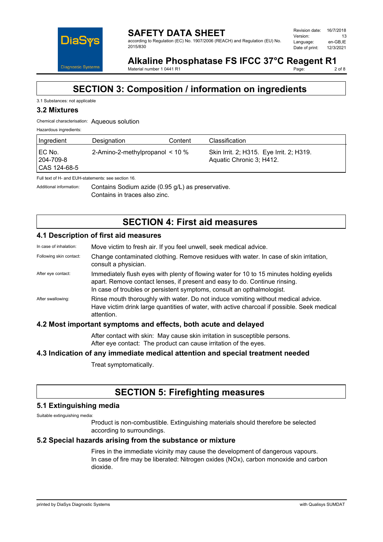

**SAFETY DATA SHEET** according to Regulation (EC) No. 1907/2006 (REACH) and Regulation (EU) No. 2015/830

#### Alkaline Phosphatase FS IFCC 37°C Reagent R1<br>Material number 1 0441 R1<br>2 of 8 Page:

Material number 1 0441 R1

# **SECTION 3: Composition / information on ingredients**

### 3.1 Substances: not applicable

# **3.2 Mixtures**

### Chemical characterisation: Aqueous solution

| Hazardous ingredients:                |                                      |         |                                                                      |
|---------------------------------------|--------------------------------------|---------|----------------------------------------------------------------------|
| Ingredient                            | Designation                          | Content | Classification                                                       |
| I EC No.<br>204-709-8<br>CAS 124-68-5 | 2-Amino-2-methylpropanol $\leq 10\%$ |         | Skin Irrit. 2; H315. Eye Irrit. 2; H319.<br>Aquatic Chronic 3; H412. |

Full text of H- and EUH-statements: see section 16.

Additional information: Contains Sodium azide (0.95 g/L) as preservative. Contains in traces also zinc.

# **SECTION 4: First aid measures**

## **4.1 Description of first aid measures**

| In case of inhalation:  | Move victim to fresh air. If you feel unwell, seek medical advice.                                                                                                                                                                               |
|-------------------------|--------------------------------------------------------------------------------------------------------------------------------------------------------------------------------------------------------------------------------------------------|
| Following skin contact: | Change contaminated clothing. Remove residues with water. In case of skin irritation,<br>consult a physician.                                                                                                                                    |
| After eye contact:      | Immediately flush eyes with plenty of flowing water for 10 to 15 minutes holding eyelids<br>apart. Remove contact lenses, if present and easy to do. Continue rinsing.<br>In case of troubles or persistent symptoms, consult an opthalmologist. |
| After swallowing:       | Rinse mouth thoroughly with water. Do not induce vomiting without medical advice.<br>Have victim drink large quantities of water, with active charcoal if possible. Seek medical<br>attention.                                                   |
|                         | 4.2 Most important symptoms and effects, both acute and delayed                                                                                                                                                                                  |

# After contact with skin: May cause skin irritation in susceptible persons. After eye contact: The product can cause irritation of the eyes.

## **4.3 Indication of any immediate medical attention and special treatment needed**

Treat symptomatically.

# **SECTION 5: Firefighting measures**

## **5.1 Extinguishing media**

Suitable extinguishing media:

Product is non-combustible. Extinguishing materials should therefore be selected according to surroundings.

## **5.2 Special hazards arising from the substance or mixture**

Fires in the immediate vicinity may cause the development of dangerous vapours. In case of fire may be liberated: Nitrogen oxides (NOx), carbon monoxide and carbon dioxide.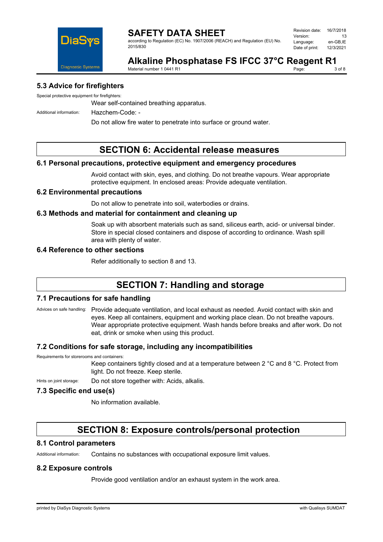

according to Regulation (EC) No. 1907/2006 (REACH) and Regulation (EU) No. 2015/830

| Revision date: | 16/7/2018 |
|----------------|-----------|
| Version:       | 13        |
| Language:      | en-GB.IE  |
| Date of print: | 12/3/2021 |

#### **Alkaline Phosphatase FS IFCC 37°C Reagent R1**<br>Material number 1.0441 R1 Page:

Material number 1 0441 R1

## **5.3 Advice for firefighters**

Special protective equipment for firefighters:

Wear self-contained breathing apparatus.

Additional information: Hazchem-Code: -

Do not allow fire water to penetrate into surface or ground water.

# **SECTION 6: Accidental release measures**

#### **6.1 Personal precautions, protective equipment and emergency procedures**

Avoid contact with skin, eyes, and clothing. Do not breathe vapours. Wear appropriate protective equipment. In enclosed areas: Provide adequate ventilation.

#### **6.2 Environmental precautions**

Do not allow to penetrate into soil, waterbodies or drains.

#### **6.3 Methods and material for containment and cleaning up**

Soak up with absorbent materials such as sand, siliceus earth, acid- or universal binder. Store in special closed containers and dispose of according to ordinance. Wash spill area with plenty of water.

## **6.4 Reference to other sections**

Refer additionally to section 8 and 13.

# **SECTION 7: Handling and storage**

#### **7.1 Precautions for safe handling**

Advices on safe handling: Provide adequate ventilation, and local exhaust as needed. Avoid contact with skin and eyes. Keep all containers, equipment and working place clean. Do not breathe vapours. Wear appropriate protective equipment. Wash hands before breaks and after work. Do not eat, drink or smoke when using this product.

#### **7.2 Conditions for safe storage, including any incompatibilities**

Requirements for storerooms and containers:

Keep containers tightly closed and at a temperature between 2 °C and 8 °C. Protect from light. Do not freeze. Keep sterile.

Hints on joint storage: Do not store together with: Acids, alkalis.

### **7.3 Specific end use(s)**

No information available.

# **SECTION 8: Exposure controls/personal protection**

#### **8.1 Control parameters**

Additional information: Contains no substances with occupational exposure limit values.

#### **8.2 Exposure controls**

Provide good ventilation and/or an exhaust system in the work area.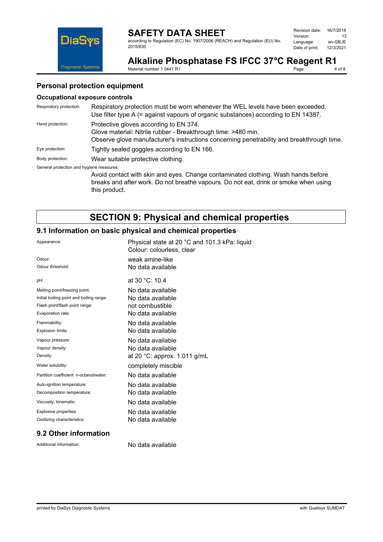according to Regulation (EC) No. 1907/2006 (REACH) and Regulation (EU) No. 2015/830

| Revision date: | 16/7/2018 |
|----------------|-----------|
| Version:       | 13        |
| Language:      | en-GB.IE  |
| Date of print: | 12/3/2021 |



Alkaline Phosphatase FS IFCC 37°C Reagent R1<br>Material number 1 0441 R1<br>4 of 8 Material number 1 0441 R1 Page:

## **Personal protection equipment**

#### **Occupational exposure controls**

| Respiratory protection:                  | Respiratory protection must be worn whenever the WEL levels have been exceeded.<br>Use filter type A (= against vapours of organic substances) according to EN 14387.                                |
|------------------------------------------|------------------------------------------------------------------------------------------------------------------------------------------------------------------------------------------------------|
| Hand protection:                         | Protective gloves according to EN 374.<br>Glove material: Nitrile rubber - Breakthrough time: >480 min.<br>Observe glove manufacturer's instructions concerning penetrability and breakthrough time. |
| Eye protection:                          | Tightly sealed goggles according to EN 166.                                                                                                                                                          |
| Body protection:                         | Wear suitable protective clothing.                                                                                                                                                                   |
| General protection and hygiene measures: | Avoid contact with skin and eyes. Change contaminated clothing. Wash hands before<br>breaks and after work. Do not breathe vapours. Do not eat, drink or smoke when using<br>this product.           |

# **SECTION 9: Physical and chemical properties**

# **9.1 Information on basic physical and chemical properties**

| Appearance:                              | Physical state at 20 °C and 101.3 kPa: liquid<br>Colour: colourless, clear |
|------------------------------------------|----------------------------------------------------------------------------|
| Odour:                                   | weak amine-like                                                            |
| Odour threshold:                         | No data available                                                          |
| pH:                                      | at 30 °C: 10.4                                                             |
| Melting point/freezing point:            | No data available                                                          |
| Initial boiling point and boiling range: | No data available                                                          |
| Flash point/flash point range:           | not combustible                                                            |
| Evaporation rate:                        | No data available                                                          |
| Flammability:                            | No data available                                                          |
| Explosion limits:                        | No data available                                                          |
| Vapour pressure:                         | No data available                                                          |
| Vapour density:                          | No data available                                                          |
| Density:                                 | at 20 °C: approx. 1.011 g/mL                                               |
| Water solubility:                        | completely miscible                                                        |
| Partition coefficient: n-octanol/water:  | No data available                                                          |
| Auto-ignition temperature:               | No data available                                                          |
| Decomposition temperature:               | No data available                                                          |
| Viscosity, kinematic:                    | No data available                                                          |
| Explosive properties:                    | No data available                                                          |
| Oxidizing characteristics:               | No data available                                                          |
|                                          |                                                                            |

# **9.2 Other information**

Additional information: No data available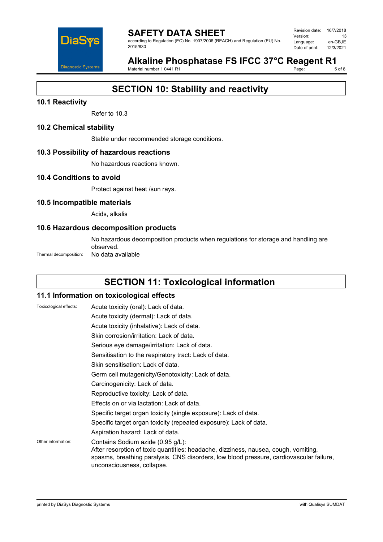

#### **SAFETY DATA SHEET** according to Regulation (EC) No. 1907/2006 (REACH) and Regulation (EU) No. 2015/830

| Revision date: | 16/7/2018 |
|----------------|-----------|
| Version:       | 13        |
| Language:      | en-GB.IE  |
| Date of print: | 12/3/2021 |

#### Alkaline Phosphatase FS IFCC 37°C Reagent R1<br>Material number 1 0441 R1 Page:

Material number 1 0441 R1

# **SECTION 10: Stability and reactivity**

## **10.1 Reactivity**

Refer to 10.3

#### **10.2 Chemical stability**

Stable under recommended storage conditions.

#### **10.3 Possibility of hazardous reactions**

No hazardous reactions known.

#### **10.4 Conditions to avoid**

Protect against heat /sun rays.

#### **10.5 Incompatible materials**

Acids, alkalis

#### **10.6 Hazardous decomposition products**

No hazardous decomposition products when regulations for storage and handling are observed.

Thermal decomposition: No data available

# **SECTION 11: Toxicological information**

## **11.1 Information on toxicological effects**

| Toxicological effects: | Acute toxicity (oral): Lack of data.                                                                                                                                                                                                              |
|------------------------|---------------------------------------------------------------------------------------------------------------------------------------------------------------------------------------------------------------------------------------------------|
|                        | Acute toxicity (dermal): Lack of data.                                                                                                                                                                                                            |
|                        | Acute toxicity (inhalative): Lack of data.                                                                                                                                                                                                        |
|                        | Skin corrosion/irritation: Lack of data.                                                                                                                                                                                                          |
|                        | Serious eye damage/irritation: Lack of data.                                                                                                                                                                                                      |
|                        | Sensitisation to the respiratory tract: Lack of data.                                                                                                                                                                                             |
|                        | Skin sensitisation: Lack of data.                                                                                                                                                                                                                 |
|                        | Germ cell mutagenicity/Genotoxicity: Lack of data.                                                                                                                                                                                                |
|                        | Carcinogenicity: Lack of data.                                                                                                                                                                                                                    |
|                        | Reproductive toxicity: Lack of data.                                                                                                                                                                                                              |
|                        | Effects on or via lactation: Lack of data.                                                                                                                                                                                                        |
|                        | Specific target organ toxicity (single exposure): Lack of data.                                                                                                                                                                                   |
|                        | Specific target organ toxicity (repeated exposure): Lack of data.                                                                                                                                                                                 |
|                        | Aspiration hazard: Lack of data.                                                                                                                                                                                                                  |
| Other information:     | Contains Sodium azide (0.95 g/L):<br>After resorption of toxic quantities: headache, dizziness, nausea, cough, vomiting,<br>spasms, breathing paralysis, CNS disorders, low blood pressure, cardiovascular failure,<br>unconsciousness, collapse. |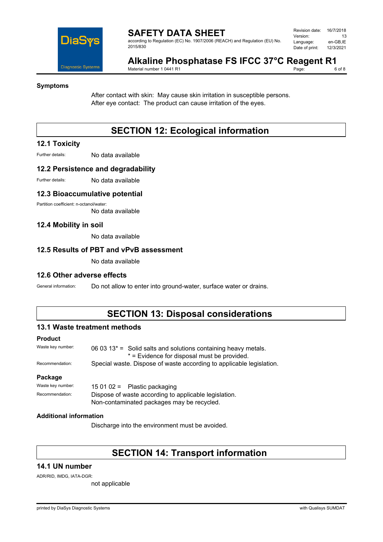

according to Regulation (EC) No. 1907/2006 (REACH) and Regulation (EU) No. 2015/830

| Revision date: | 16/7/2018 |
|----------------|-----------|
| Version:       | 13        |
| Language:      | en-GB.IE  |
| Date of print: | 12/3/2021 |

#### Alkaline Phosphatase FS IFCC 37°C Reagent R1<br>Material number 1 0441 R1 Page:

Material number 1 0441 R1

#### **Symptoms**

After contact with skin: May cause skin irritation in susceptible persons. After eye contact: The product can cause irritation of the eyes.

# **SECTION 12: Ecological information**

#### **12.1 Toxicity**

Further details: No data available

#### **12.2 Persistence and degradability**

Further details: No data available

#### **12.3 Bioaccumulative potential**

Partition coefficient: n-octanol/water:

No data available

#### **12.4 Mobility in soil**

No data available

#### **12.5 Results of PBT and vPvB assessment**

No data available

#### **12.6 Other adverse effects**

General information: Do not allow to enter into ground-water, surface water or drains.

# **SECTION 13: Disposal considerations**

#### **13.1 Waste treatment methods**

#### **Product**

| Waste key number: | 06 03 13 $*$ = Solid salts and solutions containing heavy metals.    |
|-------------------|----------------------------------------------------------------------|
|                   | * = Evidence for disposal must be provided.                          |
| Recommendation:   | Special waste. Dispose of waste according to applicable legislation. |

#### **Package**

Waste key number: 15 01 02 = Plastic packaging Recommendation: Dispose of waste according to applicable legislation. Non-contaminated packages may be recycled.

#### **Additional information**

Discharge into the environment must be avoided.

# **SECTION 14: Transport information**

#### **14.1 UN number**

ADR/RID, IMDG, IATA-DGR:

not applicable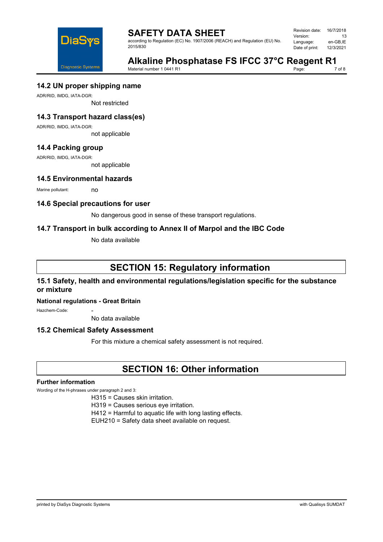

according to Regulation (EC) No. 1907/2006 (REACH) and Regulation (EU) No. 2015/830

| Revision date: | 16/7/2018 |
|----------------|-----------|
| Version:       | 13        |
| Language:      | en-GB,IE  |
| Date of print: | 12/3/2021 |



**Alkaline Phosphatase FS IFCC 37°C Reagent R1**<br>Material number 1 0441 R1

Material number 1 0441 R1

7 of 8

## **14.2 UN proper shipping name**

ADR/RID, IMDG, IATA-DGR:

Not restricted

# **14.3 Transport hazard class(es)**

ADR/RID, IMDG, IATA-DGR:

not applicable

# **14.4 Packing group**

ADR/RID, IMDG, IATA-DGR:

not applicable

## **14.5 Environmental hazards**

Marine pollutant: no

#### **14.6 Special precautions for user**

No dangerous good in sense of these transport regulations.

## **14.7 Transport in bulk according to Annex II of Marpol and the IBC Code**

No data available

# **SECTION 15: Regulatory information**

## **15.1 Safety, health and environmental regulations/legislation specific for the substance or mixture**

#### **National regulations - Great Britain**

Hazchem-Code:

No data available

#### **15.2 Chemical Safety Assessment**

For this mixture a chemical safety assessment is not required.

# **SECTION 16: Other information**

#### **Further information**

Wording of the H-phrases under paragraph 2 and 3:

- H315 = Causes skin irritation.
- H319 = Causes serious eye irritation.
- H412 = Harmful to aquatic life with long lasting effects.
- EUH210 = Safety data sheet available on request.